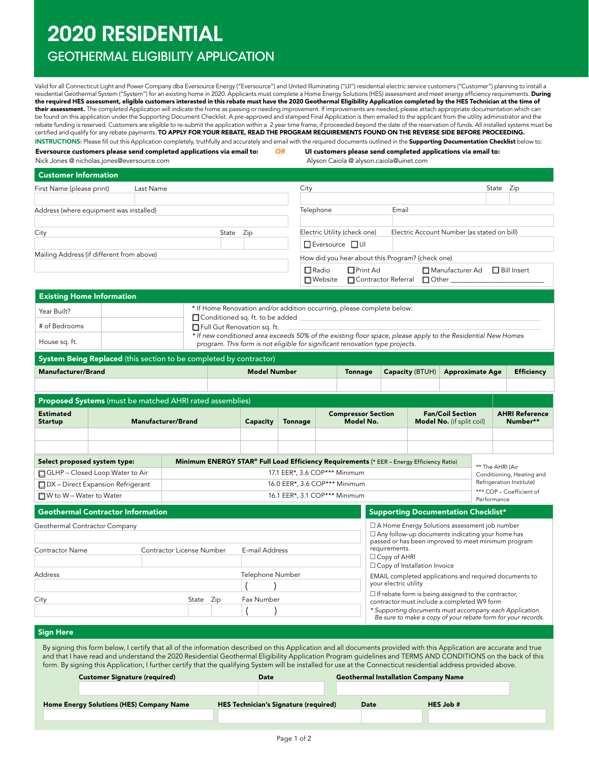# 2020 RESIDENTIAL

## GEOTHERMAL ELIGIBILITY APPLICATION

Valid for all Connecticut Light and Power Company dba Eversource Energy ("Eversource") and United Illuminating ("UI") residential electric service customers ("Customer") planning to install a residential Geothermal System ("System") for an existing home in 2020. Applicants must complete a Home Energy Solutions (HES) assessment and meet energy efficiency requirements. During the required HES assessment, eligible customers interested in this rebate must have the 2020 Geothermal Eligibility Application completed by the HES Technician at the time of their assessment. The completed Application will indicate the home as passing or needing improvement. If improvements are needed, please attach appropriate documentation which can be found on this application under the Supporting Document Checklist. A pre-approved and stamped Final Application is then emailed to the applicant from the utility administrator and the rebate funding is reserved. Customers are eligible to re-submit the application within a 2 year time frame, if proceeded beyond the date of the reservation of funds. All installed systems must be certified and qualify for any rebate payments. TO APPLY FOR YOUR REBATE, READ THE PROGRAM REQUIREMENTS FOUND ON THE REVERSE SIDE BEFORE PROCEEDING. INSTRUCTIONS: Please fill out this Application completely, truthfully and accurately and email with the required documents outlined in the Supporting Documentation Checklist below to:

Eversource customers please send completed applications via email to:

*OR* UI customers please send completed applications via email to: Alyson Caiola @ alyson.caiola@uinet.com

Nick Jones @ nicholas.jones@eversource.com

| <b>Customer Information</b>               |           |              |                                                  |                                             |
|-------------------------------------------|-----------|--------------|--------------------------------------------------|---------------------------------------------|
| First Name (please print)                 | Last Name |              | City                                             | State<br>Zip                                |
|                                           |           |              |                                                  |                                             |
| Address (where equipment was installed)   |           |              | Telephone<br>Email                               |                                             |
|                                           |           |              |                                                  |                                             |
| City                                      |           | Zip<br>State | Electric Utility (check one)                     | Electric Account Number (as stated on bill) |
|                                           |           |              | □ Eversource □ UI                                |                                             |
| Mailing Address (if different from above) |           |              | How did you hear about this Program? (check one) |                                             |
|                                           |           |              | $\Box$ Radio<br><b>□</b> Print Ad                | □ Manufacturer Ad<br>$\Box$ Bill Insert     |
|                                           |           |              |                                                  |                                             |

| * If Home Renovation and/or addition occurring, please complete below:<br>Year Built?<br>Conditioned sq. ft. to be added<br># of Bedrooms<br>Full Gut Renovation sq. ft.<br>* If new conditioned area exceeds 50% of the existing floor space, please apply to the Residential New Homes<br>House sq. ft.<br>program. This form is not eligible for significant renovation type projects. | <b>Existing Home Information</b> |  |
|-------------------------------------------------------------------------------------------------------------------------------------------------------------------------------------------------------------------------------------------------------------------------------------------------------------------------------------------------------------------------------------------|----------------------------------|--|
|                                                                                                                                                                                                                                                                                                                                                                                           |                                  |  |
|                                                                                                                                                                                                                                                                                                                                                                                           |                                  |  |
|                                                                                                                                                                                                                                                                                                                                                                                           |                                  |  |

### System Being Replaced (this section to be completed by contractor)

| Manufacturer/Brand | <b>Model Number</b> | Tonnage | Capacity (BTUH) Approximate Age | Efficiency |
|--------------------|---------------------|---------|---------------------------------|------------|
|                    |                     |         |                                 |            |

| <b>Proposed Systems</b> (must be matched AHRI rated assemblies)                                                          |                               |                               |          |                |                                        |                                                             |                                         |                                                       |  |
|--------------------------------------------------------------------------------------------------------------------------|-------------------------------|-------------------------------|----------|----------------|----------------------------------------|-------------------------------------------------------------|-----------------------------------------|-------------------------------------------------------|--|
| <b>Estimated</b><br><b>Startup</b>                                                                                       | <b>Manufacturer/Brand</b>     |                               | Capacity | <b>Tonnage</b> | <b>Compressor Section</b><br>Model No. | <b>Fan/Coil Section</b><br><b>Model No.</b> (if split coil) |                                         | <b>AHRI Reference</b><br>Number**                     |  |
|                                                                                                                          |                               |                               |          |                |                                        |                                                             |                                         |                                                       |  |
|                                                                                                                          |                               |                               |          |                |                                        |                                                             |                                         |                                                       |  |
| Minimum ENERGY STAR® Full Load Efficiency Requirements (* EER - Energy Efficiency Ratio)<br>Select proposed system type: |                               |                               |          |                | ** The AHRI (Air                       |                                                             |                                         |                                                       |  |
| □ GLHP – Closed Loop Water to Air                                                                                        |                               | 17.1 EER*, 3.6 COP*** Minimum |          |                |                                        |                                                             |                                         | Conditioning, Heating and<br>Refrigeration Institute) |  |
| $\Box$ DX – Direct Expansion Refrigerant                                                                                 |                               | 16.0 EER*, 3.6 COP*** Minimum |          |                |                                        |                                                             |                                         |                                                       |  |
| $\Box$ W to W – Water to Water                                                                                           | 16.1 EER*, 3.1 COP*** Minimum |                               |          |                |                                        |                                                             | *** COP – Coefficient of<br>Performance |                                                       |  |

| <b>Geothermal Contractor Information</b><br>Geothermal Contractor Company<br>Contractor License Number<br>E-mail Address<br>Contractor Name |  |                                | Supporting Documentation Checklist*                                                                                                                                                                                                                                                                                     |  |  |
|---------------------------------------------------------------------------------------------------------------------------------------------|--|--------------------------------|-------------------------------------------------------------------------------------------------------------------------------------------------------------------------------------------------------------------------------------------------------------------------------------------------------------------------|--|--|
|                                                                                                                                             |  |                                | □ A Home Energy Solutions assessment job number<br>$\Box$ Any follow-up documents indicating your home has<br>passed or has been improved to meet minimum program<br>requirements.<br>$\Box$ Copy of AHRI<br>$\Box$ Copy of Installation Invoice                                                                        |  |  |
| Address<br>City<br>State Zip                                                                                                                |  | Telephone Number<br>Fax Number | EMAIL completed applications and required documents to<br>your electric utility<br>$\Box$ If rebate form is being assigned to the contractor,<br>contractor must include a completed W9 form<br>* Supporting documents must accompany each Application.<br>Be sure to make a copy of your rebate form for your records. |  |  |

#### Sign Here

Home **E** 

By signing this form below, I certify that all of the information described on this Application and all documents provided with this Application are accurate and true and that I have read and understand the 2020 Residential Geothermal Eligibility Application Program guidelines and TERMS AND CONDITIONS on the back of this form. By signing this Application, I further certify that the qualifying System will be installed for use at the Connecticut residential address provided above.

| <b>Customer Signature (required)</b> | Date                                         |      | <b>Geothermal Installation Company Name</b> |  |
|--------------------------------------|----------------------------------------------|------|---------------------------------------------|--|
|                                      |                                              |      |                                             |  |
| inergy Solutions (HES) Company Name: | <b>HES Technician's Signature (required)</b> | Date | HES Job #                                   |  |
|                                      |                                              |      |                                             |  |